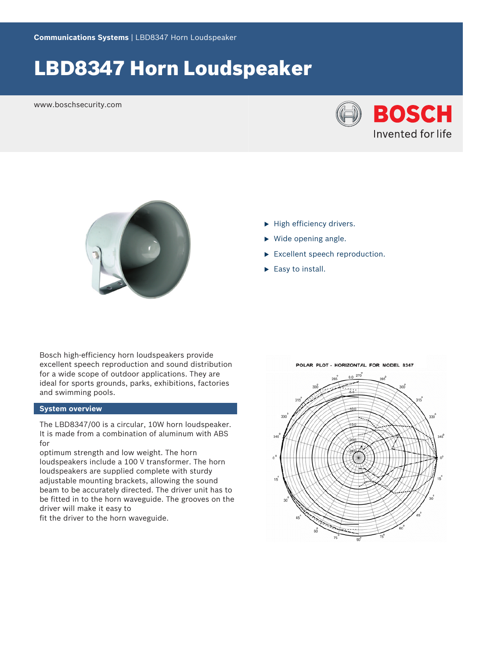# LBD8347 Horn Loudspeaker

www.boschsecurity.com





- $\blacktriangleright$  High efficiency drivers.
- $\triangleright$  Wide opening angle.
- $\blacktriangleright$  Excellent speech reproduction.
- $\blacktriangleright$  Easy to install.

Bosch high-efficiency horn loudspeakers provide excellent speech reproduction and sound distribution for a wide scope of outdoor applications. They are ideal for sports grounds, parks, exhibitions, factories and swimming pools.

### **System overview**

The LBD8347/00 is a circular, 10W horn loudspeaker. It is made from a combination of aluminum with ABS for

optimum strength and low weight. The horn loudspeakers include a 100 V transformer. The horn loudspeakers are supplied complete with sturdy adjustable mounting brackets, allowing the sound beam to be accurately directed. The driver unit has to be fitted in to the horn waveguide. The grooves on the driver will make it easy to

fit the driver to the horn waveguide.

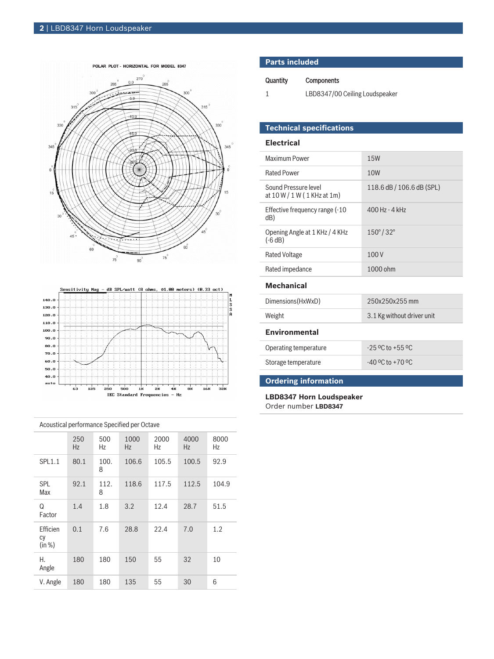



|  | Acoustical performance Specified per Octave |           |           |            |            |             |            |  |
|--|---------------------------------------------|-----------|-----------|------------|------------|-------------|------------|--|
|  |                                             | 250<br>Hz | 500<br>Hz | 1000<br>Hz | 2000<br>Hz | 4000<br>Hz. | 8000<br>Hz |  |
|  | <b>SPL1.1</b>                               | 80.1      | 100.<br>8 | 106.6      | 105.5      | 100.5       | 92.9       |  |
|  | <b>SPL</b><br>Max                           | 92.1      | 112.<br>8 | 118.6      | 117.5      | 112.5       | 104.9      |  |
|  | Q<br>Factor                                 | 1.4       | 1.8       | 3.2        | 12.4       | 28.7        | 51.5       |  |
|  | Efficien<br>CV<br>(in %)                    | 0.1       | 7.6       | 28.8       | 22.4       | 7.0         | 1.2        |  |
|  | Н.<br>Angle                                 | 180       | 180       | 150        | 55         | 32          | 10         |  |
|  | V. Angle                                    | 180       | 180       | 135        | 55         | 30          | 6          |  |

|          | <b>Parts included</b> |  |  |  |  |
|----------|-----------------------|--|--|--|--|
| Quantity | <b>Components</b>     |  |  |  |  |

1 LBD8347/00 Ceiling Loudspeaker

## **Technical specifications**

#### **Electrical**

| Maximum Power                                       | <b>15W</b>                 |  |  |  |  |
|-----------------------------------------------------|----------------------------|--|--|--|--|
| <b>Rated Power</b>                                  | 10W                        |  |  |  |  |
| Sound Pressure level<br>at 10 W / 1 W (1 KHz at 1m) | 118.6 dB / 106.6 dB (SPL)  |  |  |  |  |
| Effective frequency range (-10<br>dB)               | 400 Hz - 4 kHz             |  |  |  |  |
| Opening Angle at 1 KHz / 4 KHz<br>$(-6 dB)$         | $150^{\circ}/32^{\circ}$   |  |  |  |  |
| <b>Rated Voltage</b>                                | 100V                       |  |  |  |  |
| Rated impedance                                     | 1000 ohm                   |  |  |  |  |
| <b>Mechanical</b>                                   |                            |  |  |  |  |
| Dimensions(HxWxD)                                   | 250x250x255 mm             |  |  |  |  |
| Weight                                              | 3.1 Kg without driver unit |  |  |  |  |
| <b>Environmental</b>                                |                            |  |  |  |  |
| Operating temperature                               | $-25$ °C to $+55$ °C       |  |  |  |  |
| Storage temperature                                 | $-40$ °C to $+70$ °C       |  |  |  |  |

## **Ordering information**

**LBD8347 Horn Loudspeaker** Order number **LBD8347**